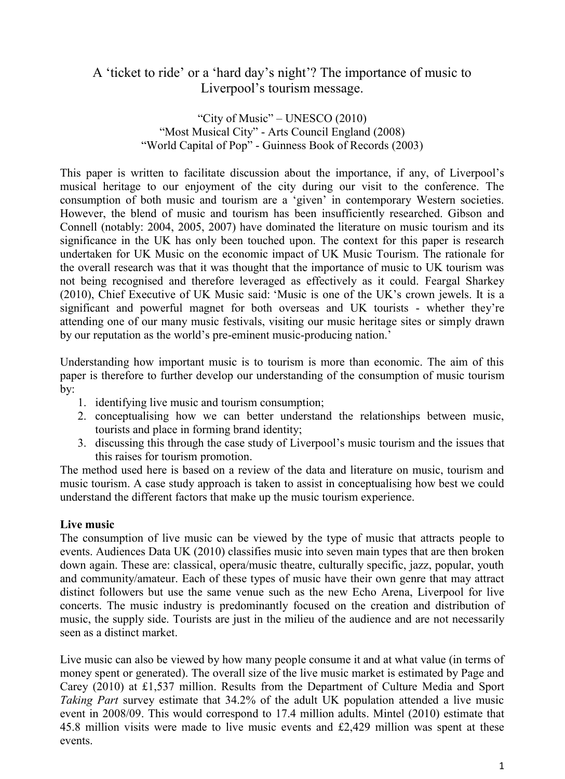# A 'ticket to ride' or a 'hard day's night'? The importance of music to Liverpool's tourism message.

"City of Music" – UNESCO (2010) "Most Musical City" - Arts Council England (2008) "World Capital of Pop" - Guinness Book of Records (2003)

This paper is written to facilitate discussion about the importance, if any, of Liverpool's musical heritage to our enjoyment of the city during our visit to the conference. The consumption of both music and tourism are a 'given' in contemporary Western societies. However, the blend of music and tourism has been insufficiently researched. Gibson and Connell (notably: 2004, 2005, 2007) have dominated the literature on music tourism and its significance in the UK has only been touched upon. The context for this paper is research undertaken for UK Music on the economic impact of UK Music Tourism. The rationale for the overall research was that it was thought that the importance of music to UK tourism was not being recognised and therefore leveraged as effectively as it could. Feargal Sharkey (2010), Chief Executive of UK Music said: 'Music is one of the UK's crown jewels. It is a significant and powerful magnet for both overseas and UK tourists - whether they're attending one of our many music festivals, visiting our music heritage sites or simply drawn by our reputation as the world's pre-eminent music-producing nation.'

Understanding how important music is to tourism is more than economic. The aim of this paper is therefore to further develop our understanding of the consumption of music tourism by:

- 1. identifying live music and tourism consumption;
- 2. conceptualising how we can better understand the relationships between music, tourists and place in forming brand identity;
- 3. discussing this through the case study of Liverpool's music tourism and the issues that this raises for tourism promotion.

The method used here is based on a review of the data and literature on music, tourism and music tourism. A case study approach is taken to assist in conceptualising how best we could understand the different factors that make up the music tourism experience.

### **Live music**

The consumption of live music can be viewed by the type of music that attracts people to events. Audiences Data UK (2010) classifies music into seven main types that are then broken down again. These are: classical, opera/music theatre, culturally specific, jazz, popular, youth and community/amateur. Each of these types of music have their own genre that may attract distinct followers but use the same venue such as the new Echo Arena, Liverpool for live concerts. The music industry is predominantly focused on the creation and distribution of music, the supply side. Tourists are just in the milieu of the audience and are not necessarily seen as a distinct market.

Live music can also be viewed by how many people consume it and at what value (in terms of money spent or generated). The overall size of the live music market is estimated by Page and Carey (2010) at £1,537 million. Results from the Department of Culture Media and Sport *Taking Part* survey estimate that 34.2% of the adult UK population attended a live music event in 2008/09. This would correspond to 17.4 million adults. Mintel (2010) estimate that 45.8 million visits were made to live music events and £2,429 million was spent at these events.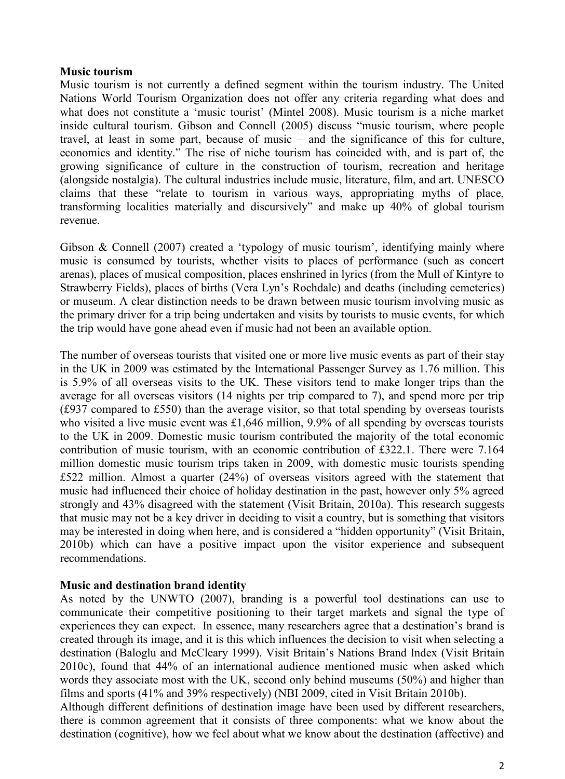### **Music tourism**

Music tourism is not currently a defined segment within the tourism industry. The United Nations World Tourism Organization does not offer any criteria regarding what does and what does not constitute a 'music tourist' (Mintel 2008). Music tourism is a niche market inside cultural tourism. Gibson and Connell (2005) discuss "music tourism, where people travel, at least in some part, because of music – and the significance of this for culture, economics and identity." The rise of niche tourism has coincided with, and is part of, the growing significance of culture in the construction of tourism, recreation and heritage (alongside nostalgia). The cultural industries include music, literature, film, and art. UNESCO claims that these "relate to tourism in various ways, appropriating myths of place, transforming localities materially and discursively" and make up 40% of global tourism revenue.

Gibson & Connell (2007) created a 'typology of music tourism', identifying mainly where music is consumed by tourists, whether visits to places of performance (such as concert arenas), places of musical composition, places enshrined in lyrics (from the Mull of Kintyre to Strawberry Fields), places of births (Vera Lyn's Rochdale) and deaths (including cemeteries) or museum. A clear distinction needs to be drawn between music tourism involving music as the primary driver for a trip being undertaken and visits by tourists to music events, for which the trip would have gone ahead even if music had not been an available option.

The number of overseas tourists that visited one or more live music events as part of their stay in the UK in 2009 was estimated by the International Passenger Survey as 1.76 million. This is 5.9% of all overseas visits to the UK. These visitors tend to make longer trips than the average for all overseas visitors (14 nights per trip compared to 7), and spend more per trip (£937 compared to £550) than the average visitor, so that total spending by overseas tourists who visited a live music event was £1,646 million, 9.9% of all spending by overseas tourists to the UK in 2009. Domestic music tourism contributed the majority of the total economic contribution of music tourism, with an economic contribution of £322.1. There were 7.164 million domestic music tourism trips taken in 2009, with domestic music tourists spending £522 million. Almost a quarter (24%) of overseas visitors agreed with the statement that music had influenced their choice of holiday destination in the past, however only 5% agreed strongly and 43% disagreed with the statement (Visit Britain, 2010a). This research suggests that music may not be a key driver in deciding to visit a country, but is something that visitors may be interested in doing when here, and is considered a "hidden opportunity" (Visit Britain, 2010b) which can have a positive impact upon the visitor experience and subsequent recommendations.

### **Music and destination brand identity**

As noted by the UNWTO (2007), branding is a powerful tool destinations can use to communicate their competitive positioning to their target markets and signal the type of experiences they can expect. In essence, many researchers agree that a destination's brand is created through its image, and it is this which influences the decision to visit when selecting a destination (Baloglu and McCleary 1999). Visit Britain's Nations Brand Index (Visit Britain 2010c), found that 44% of an international audience mentioned music when asked which words they associate most with the UK, second only behind museums (50%) and higher than films and sports (41% and 39% respectively) (NBI 2009, cited in Visit Britain 2010b). Although different definitions of destination image have been used by different researchers,

there is common agreement that it consists of three components: what we know about the destination (cognitive), how we feel about what we know about the destination (affective) and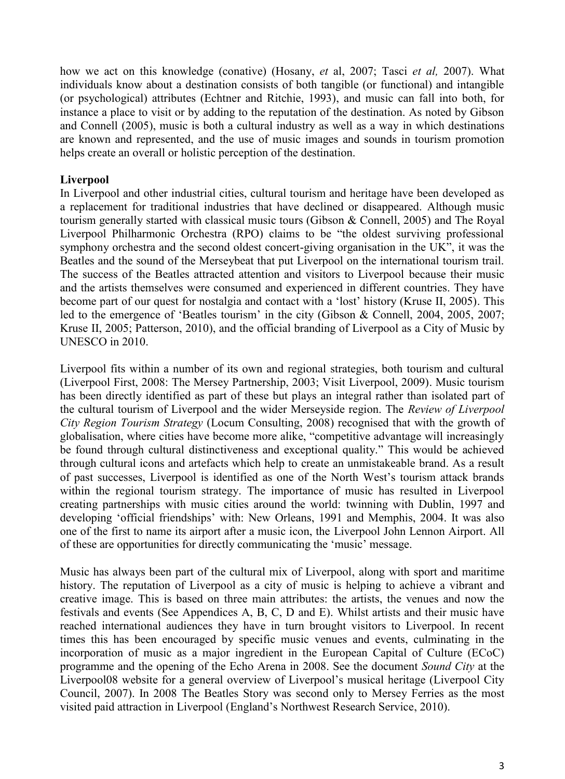how we act on this knowledge (conative) (Hosany, *et* al, 2007; Tasci *et al,* 2007). What individuals know about a destination consists of both tangible (or functional) and intangible (or psychological) attributes (Echtner and Ritchie, 1993), and music can fall into both, for instance a place to visit or by adding to the reputation of the destination. As noted by Gibson and Connell (2005), music is both a cultural industry as well as a way in which destinations are known and represented, and the use of music images and sounds in tourism promotion helps create an overall or holistic perception of the destination.

# **Liverpool**

In Liverpool and other industrial cities, cultural tourism and heritage have been developed as a replacement for traditional industries that have declined or disappeared. Although music tourism generally started with classical music tours (Gibson & Connell, 2005) and The Royal Liverpool Philharmonic Orchestra (RPO) claims to be "the oldest surviving professional symphony orchestra and the second oldest concert-giving organisation in the UK", it was the Beatles and the sound of the Merseybeat that put Liverpool on the international tourism trail. The success of the Beatles attracted attention and visitors to Liverpool because their music and the artists themselves were consumed and experienced in different countries. They have become part of our quest for nostalgia and contact with a 'lost' history (Kruse II, 2005). This led to the emergence of 'Beatles tourism' in the city (Gibson & Connell, 2004, 2005, 2007; Kruse II, 2005; Patterson, 2010), and the official branding of Liverpool as a City of Music by UNESCO in 2010.

Liverpool fits within a number of its own and regional strategies, both tourism and cultural (Liverpool First, 2008: The Mersey Partnership, 2003; Visit Liverpool, 2009). Music tourism has been directly identified as part of these but plays an integral rather than isolated part of the cultural tourism of Liverpool and the wider Merseyside region. The *Review of Liverpool City Region Tourism Strategy* (Locum Consulting, 2008) recognised that with the growth of globalisation, where cities have become more alike, "competitive advantage will increasingly be found through cultural distinctiveness and exceptional quality." This would be achieved through cultural icons and artefacts which help to create an unmistakeable brand. As a result of past successes, Liverpool is identified as one of the North West's tourism attack brands within the regional tourism strategy. The importance of music has resulted in Liverpool creating partnerships with music cities around the world: twinning with Dublin, 1997 and developing 'official friendships' with: New Orleans, 1991 and Memphis, 2004. It was also one of the first to name its airport after a music icon, the Liverpool John Lennon Airport. All of these are opportunities for directly communicating the 'music' message.

Music has always been part of the cultural mix of Liverpool, along with sport and maritime history. The reputation of Liverpool as a city of music is helping to achieve a vibrant and creative image. This is based on three main attributes: the artists, the venues and now the festivals and events (See Appendices A, B, C, D and E). Whilst artists and their music have reached international audiences they have in turn brought visitors to Liverpool. In recent times this has been encouraged by specific music venues and events, culminating in the incorporation of music as a major ingredient in the European Capital of Culture (ECoC) programme and the opening of the Echo Arena in 2008. See the document *Sound City* at the Liverpool08 website for a general overview of Liverpool's musical heritage (Liverpool City Council, 2007). In 2008 The Beatles Story was second only to Mersey Ferries as the most visited paid attraction in Liverpool (England's Northwest Research Service, 2010).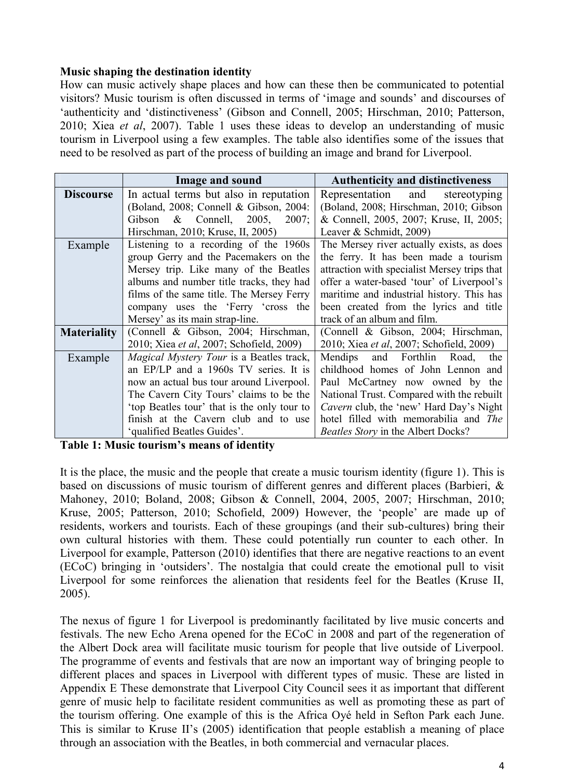## **Music shaping the destination identity**

How can music actively shape places and how can these then be communicated to potential visitors? Music tourism is often discussed in terms of 'image and sounds' and discourses of 'authenticity and 'distinctiveness' (Gibson and Connell, 2005; Hirschman, 2010; Patterson, 2010; Xiea *et al*, 2007). Table 1 uses these ideas to develop an understanding of music tourism in Liverpool using a few examples. The table also identifies some of the issues that need to be resolved as part of the process of building an image and brand for Liverpool.

|                    | Image and sound                                  | <b>Authenticity and distinctiveness</b>      |
|--------------------|--------------------------------------------------|----------------------------------------------|
| <b>Discourse</b>   | In actual terms but also in reputation           | Representation and<br>stereotyping           |
|                    | (Boland, 2008; Connell & Gibson, 2004:           | (Boland, 2008; Hirschman, 2010; Gibson       |
|                    | $&$ Connell, 2005,<br>$2007$ ;<br>Gibson         | & Connell, 2005, 2007; Kruse, II, 2005;      |
|                    | Hirschman, 2010; Kruse, II, 2005)                | Leaver & Schmidt, 2009)                      |
| Example            | Listening to a recording of the 1960s            | The Mersey river actually exists, as does    |
|                    | group Gerry and the Pacemakers on the            | the ferry. It has been made a tourism        |
|                    | Mersey trip. Like many of the Beatles            | attraction with specialist Mersey trips that |
|                    | albums and number title tracks, they had         | offer a water-based 'tour' of Liverpool's    |
|                    | films of the same title. The Mersey Ferry        | maritime and industrial history. This has    |
|                    | company uses the 'Ferry 'cross the               | been created from the lyrics and title       |
|                    | Mersey' as its main strap-line.                  | track of an album and film.                  |
| <b>Materiality</b> | (Connell & Gibson, 2004; Hirschman,              | (Connell & Gibson, 2004; Hirschman,          |
|                    | 2010; Xiea <i>et al</i> , 2007; Schofield, 2009) | 2010; Xiea et al, 2007; Schofield, 2009)     |
| Example            | Magical Mystery Tour is a Beatles track,         | Mendips and Forthlin Road,<br>the            |
|                    | an EP/LP and a 1960s TV series. It is            | childhood homes of John Lennon and           |
|                    | now an actual bus tour around Liverpool.         | Paul McCartney now owned by the              |
|                    | The Cavern City Tours' claims to be the          | National Trust. Compared with the rebuilt    |
|                    | 'top Beatles tour' that is the only tour to      | Cavern club, the 'new' Hard Day's Night      |
|                    | finish at the Cavern club and to use             | hotel filled with memorabilia and The        |
|                    | 'qualified Beatles Guides'.                      | <i>Beatles Story</i> in the Albert Docks?    |

### **Table 1: Music tourism's means of identity**

It is the place, the music and the people that create a music tourism identity (figure 1). This is based on discussions of music tourism of different genres and different places (Barbieri, & Mahoney, 2010; Boland, 2008; Gibson & Connell, 2004, 2005, 2007; Hirschman, 2010; Kruse, 2005; Patterson, 2010; Schofield, 2009) However, the 'people' are made up of residents, workers and tourists. Each of these groupings (and their sub-cultures) bring their own cultural histories with them. These could potentially run counter to each other. In Liverpool for example, Patterson (2010) identifies that there are negative reactions to an event (ECoC) bringing in 'outsiders'. The nostalgia that could create the emotional pull to visit Liverpool for some reinforces the alienation that residents feel for the Beatles (Kruse II, 2005).

The nexus of figure 1 for Liverpool is predominantly facilitated by live music concerts and festivals. The new Echo Arena opened for the ECoC in 2008 and part of the regeneration of the Albert Dock area will facilitate music tourism for people that live outside of Liverpool. The programme of events and festivals that are now an important way of bringing people to different places and spaces in Liverpool with different types of music. These are listed in Appendix E These demonstrate that Liverpool City Council sees it as important that different genre of music help to facilitate resident communities as well as promoting these as part of the tourism offering. One example of this is the Africa Oyé held in Sefton Park each June. This is similar to Kruse II's (2005) identification that people establish a meaning of place through an association with the Beatles, in both commercial and vernacular places.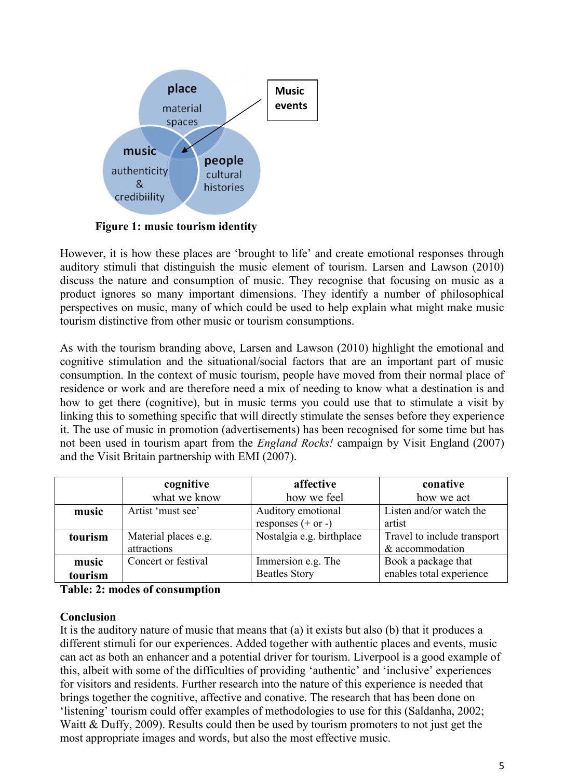

**Figure 1: music tourism identity**

However, it is how these places are 'brought to life' and create emotional responses through auditory stimuli that distinguish the music element of tourism. Larsen and Lawson (2010) discuss the nature and consumption of music. They recognise that focusing on music as a product ignores so many important dimensions. They identify a number of philosophical perspectives on music, many of which could be used to help explain what might make music tourism distinctive from other music or tourism consumptions.

As with the tourism branding above, Larsen and Lawson (2010) highlight the emotional and cognitive stimulation and the situational/social factors that are an important part of music consumption. In the context of music tourism, people have moved from their normal place of residence or work and are therefore need a mix of needing to know what a destination is and how to get there (cognitive), but in music terms you could use that to stimulate a visit by linking this to something specific that will directly stimulate the senses before they experience it. The use of music in promotion (advertisements) has been recognised for some time but has not been used in tourism apart from the *England Rocks!* campaign by Visit England (2007) and the Visit Britain partnership with EMI (2007).

|         | cognitive            | affective                 | conative                    |
|---------|----------------------|---------------------------|-----------------------------|
|         | what we know         | how we feel               | how we act                  |
| music   | Artist 'must see'    | Auditory emotional        | Listen and/or watch the     |
|         |                      | responses $(+ or -)$      | artist                      |
| tourism | Material places e.g. | Nostalgia e.g. birthplace | Travel to include transport |
|         | attractions          |                           | & accommodation             |
| music   | Concert or festival  | Immersion e.g. The        | Book a package that         |
| tourism |                      | <b>Beatles Story</b>      | enables total experience    |

**Table: 2: modes of consumption**

### **Conclusion**

It is the auditory nature of music that means that (a) it exists but also (b) that it produces a different stimuli for our experiences. Added together with authentic places and events, music can act as both an enhancer and a potential driver for tourism. Liverpool is a good example of this, albeit with some of the difficulties of providing 'authentic' and 'inclusive' experiences for visitors and residents. Further research into the nature of this experience is needed that brings together the cognitive, affective and conative. The research that has been done on 'listening' tourism could offer examples of methodologies to use for this (Saldanha, 2002; Waitt & Duffy, 2009). Results could then be used by tourism promoters to not just get the most appropriate images and words, but also the most effective music.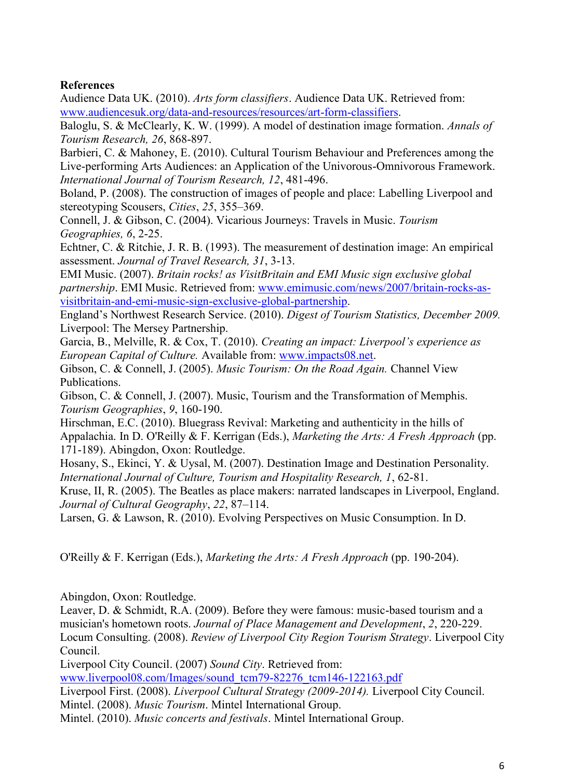References

Audience Da(t2a0) WACK.ts form classuidiens . Data UK ro Retrieved www.audiencesuakndecs/coluartcaes/resfoournoclass/sainfiers

Baloglu, S. & McClea9r9y, K. mWodell 9of destinatioAnnimad geoformation. Tourism Resea8 68869, 726

Barbieri, C. & Mahoney, E. (2010). Cultural Tourism Behavio Liv-performing Arts Audiences: an App-Olomantion or to the Hekal mnew coro International Journal of Tou4 841906 Research, 12

Boland, P. (2008). The construction of images of people and stereotyping Scto, @s5e355569.

Connell, J. & Gibson, C. (2004). Viima Mudia Culmism eys: Travel  $G$ eographi $Q$ s $5.6$ 

Echtner, C. & Ritchie, J. [R. B. \(1993\). The measurem](http://www.emimusic.com/news/2007/britain-rocks-as-visitbritain-and-emi-music-sign-exclusive-global-partnership)ent of assessmemthal of Travel R&Search, 31

EMI Musi2c00Britain rocks! as VisitBritain and EMI Music sign partnershiMpI MuRseitcrievfred myww.emimusic.com//cnreitwansin/2H8ns97

visitbr<del>iata de</del>mminus-isoig-exclusgivoe b<sub>r</sub>aattnership

England s Northwest Re(2010). by est rovic Equitsm Statistics, Dec Liverpool: The Mersey Partnership.

Garcia, B., Melville, R. & reating an 20mh pact: Liverpool s experience European Capital Aovfai Culture from impacts 08.net

Gibson, C. & ConneMusic  $\square$ 2000  $5$ s). On the Ramande IA of aeinv. Publications.

Gibson, Can&ell, J. (2007). Music, Tourism and the Transfor Tourism GeogGraphofoeGs.

Hirschman, E.C. (2010). Bluegrass Revival: Marketing and a AppaladhiaD.. O'Reilly & F. Kerrigan (Eds.A), Arts h Apppoach 171-189). Abingdon, Oxon: Routledge.

Hosany, S., Ekinci, Y. & Uysal, M. (2007). Destination Imag International Journal of Culture, Tourism 622nd Hospitality Re Kruse, II, R. (2005). The Beatles as place makers: narrated Journal of Cultura, 12 \$ 8 dg r4a phy

Larsen, G. & Lawson, R. (2010). Evolving Perspectives on M

O'Reilly & F. KerrMopaarki**e**(toEolise), Arts: A Fre(splp. A129p044o) ach

Abingdon, Oxon: Routledge.

Leaver, D. & Schmidt, R.A. (2009). Befobræs tehdetyo wureis en faam do uas musician's homedown nadocts. Place Management, 2022020 Development Locum Cong(2008). Liverpool City Region Topo Strategy Strategy Council.

Liverpool City  $C2000$   $\overline{0}$   $\overline{0}$   $\overline{1}$   $\overline{0}$  . Rettyrie  $\overline{v}$  recd m:

<u>www.liverpool08.com/dmtaconee235936\_tc-1n21241663.pdf</u>

Liverpool (F2iO 8LBi) verpool Cultural S2 0 at 4e) gwe (2009 City Council. Minte(1200Mb).sic Toum simit el International Group.

Minte(1201M).sic concerts anMlinetativational Group.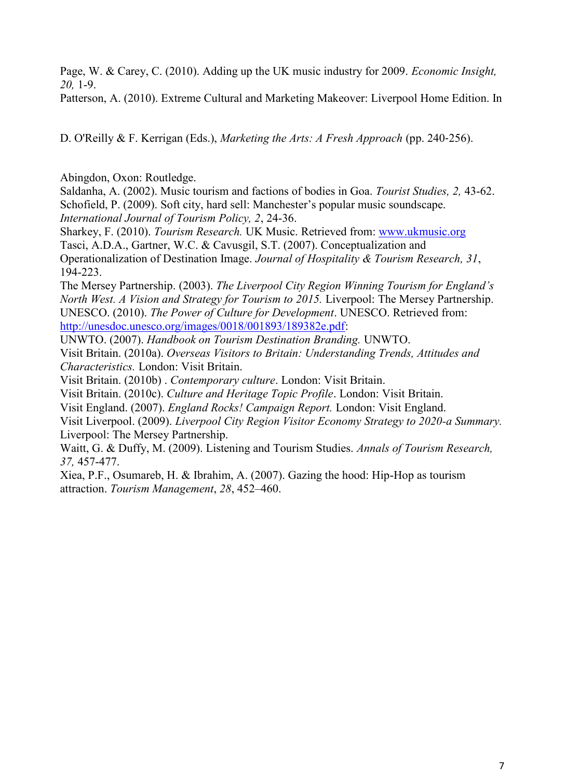Page, W. & Carey, C. (2010). Adding up the Ecolin Kommut is ingurally for  $\frac{1}{20}$  $201-9$ . Patterson, A. (2010). Extreme Cultural and Marketing Makeo

D. O'Reilly & F. Ke Mrageaktnin (gEthse) Arts: A Fr(epsph  $\mathcal{L}\mathcal{B}(F)$  o ach

Abingdon, Oxon: Routledge.

Saldanha, A. M. (126002). urism and factions ocurriscad Stete 4d86e2sGo2a,.

Schofield, P. (2009). Soft city, hard sell: Manchester s popu Inteational Journal of Tou246m Policy, 2

Sharkey, F. T(02001\$0m). RebleKa McchsRietrieved <u>www.ukmusic.org</u>

Tasch, DA., Garther & Cavussgil 2000 hceptualization and Operationalization of Deletuinmeation IHmossopeitality & ToSulrism Res

194-223.

The Mersey Pa (2n0e0763) heipLiverpool City Region Winning Touris North Westision and Strategy od biTwee up idsomine that ersey Partnership. UNESCO 2.01 Tuhe Power of Culture fou NDESSENEX .pines of endm:

http://unesdoc.unesco.org/images/0018/001893/189382e.pdf : UNWTQ200H3andbook on Tourism DestUInNaM ITO. Branding.

Visit Brita Ond. Caverseas Visitors to Britain: Understanding Trends, Attitudes and Attitudes and Attitudes and Characteristics. **Character** Using Visit Britain.

Visit Brita 0ml.0  $\phi$  ntemporary low htduorne: Visit Britain

Visit Brita Ond. Cau) Iture and Heritage **Topic P**rofilist Britain.

Visit England England Rocks! Campaign Report. England.

Visit Liver(β20019i) verpool City Region \Sitsrattoerg & ctoon \$9 បា&nom ary.

Liverpool: The Mersey Partnership.

Waitt,  $G.$  &  $D$ uffy,  $M.$  (2009). Listen Almon and is do  $T$  o Tuoruising mSt Ruedsie sa 3745-477.

Xiea, P.F., Osumareb, H. & Ibrahim, A. - H2o p 2 as to azing the home attractTionarism Mana2q3e4m5e42n6t0.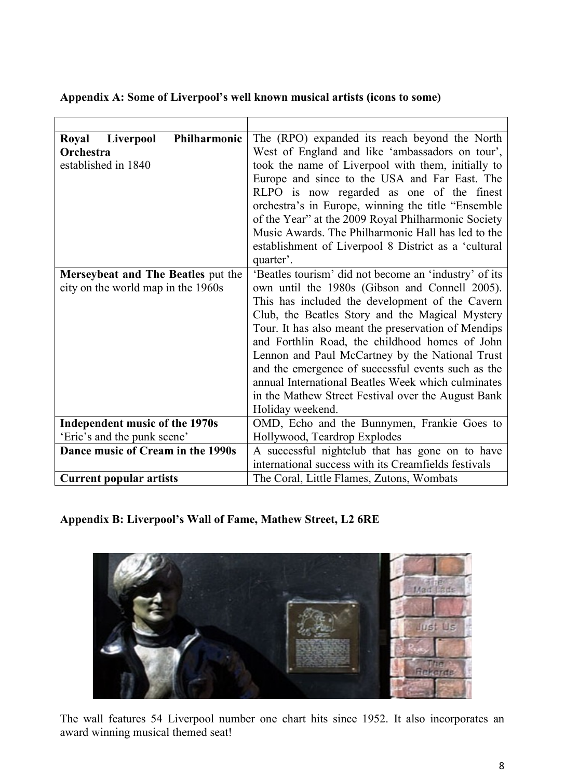| <b>Liverpool</b><br>Philharmonic<br>Royal<br>Orchestra<br>established in 1840 | The (RPO) expanded its reach beyond the North<br>West of England and like 'ambassadors on tour',<br>took the name of Liverpool with them, initially to<br>Europe and since to the USA and Far East. The<br>RLPO is now regarded as one of the finest<br>orchestra's in Europe, winning the title "Ensemble"<br>of the Year" at the 2009 Royal Philharmonic Society<br>Music Awards. The Philharmonic Hall has led to the<br>establishment of Liverpool 8 District as a 'cultural<br>quarter'.                                                                   |
|-------------------------------------------------------------------------------|-----------------------------------------------------------------------------------------------------------------------------------------------------------------------------------------------------------------------------------------------------------------------------------------------------------------------------------------------------------------------------------------------------------------------------------------------------------------------------------------------------------------------------------------------------------------|
| Merseybeat and The Beatles put the<br>city on the world map in the 1960s      | 'Beatles tourism' did not become an 'industry' of its<br>own until the 1980s (Gibson and Connell 2005).<br>This has included the development of the Cavern<br>Club, the Beatles Story and the Magical Mystery<br>Tour. It has also meant the preservation of Mendips<br>and Forthlin Road, the childhood homes of John<br>Lennon and Paul McCartney by the National Trust<br>and the emergence of successful events such as the<br>annual International Beatles Week which culminates<br>in the Mathew Street Festival over the August Bank<br>Holiday weekend. |
| Independent music of the 1970s                                                | OMD, Echo and the Bunnymen, Frankie Goes to                                                                                                                                                                                                                                                                                                                                                                                                                                                                                                                     |
| 'Eric's and the punk scene'                                                   | Hollywood, Teardrop Explodes                                                                                                                                                                                                                                                                                                                                                                                                                                                                                                                                    |
| Dance music of Cream in the 1990s                                             | A successful nightclub that has gone on to have                                                                                                                                                                                                                                                                                                                                                                                                                                                                                                                 |
|                                                                               | international success with its Creamfields festivals                                                                                                                                                                                                                                                                                                                                                                                                                                                                                                            |
| <b>Current popular artists</b>                                                | The Coral, Little Flames, Zutons, Wombats                                                                                                                                                                                                                                                                                                                                                                                                                                                                                                                       |

**Appendix A: Some of Liverpool's well known musical artists (icons to some)**

**Appendix B: Liverpool's Wall of Fame, Mathew Street, L2 6RE**



The wall features 54 Liverpool number one chart hits since 1952. It also incorporates an award winning musical themed seat!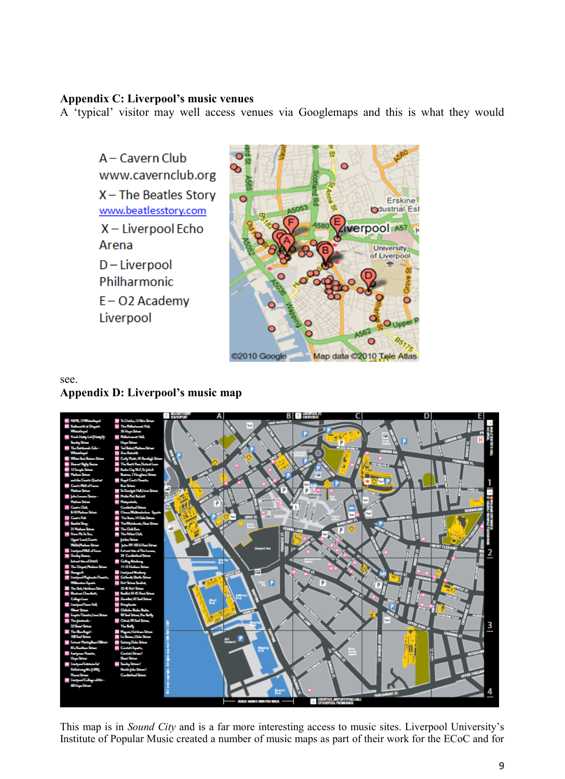#### **Appendix C: Liverpool's music venues**

A 'typical' visitor may well access venues via Googlemaps and this is what they would

A - Cavern Club www.cavernclub.org X-The Beatles Story www.beatlesstory.com X - Liverpool Echo Arena  $D$  – Liverpool Philharmonic  $E - O2$  Academy Liverpool



#### see. **Appendix D: Liverpool's music map**



This map is in *Sound City* and is a far more interesting access to music sites. Liverpool University's Institute of Popular Music created a number of music maps as part of their work for the ECoC and for